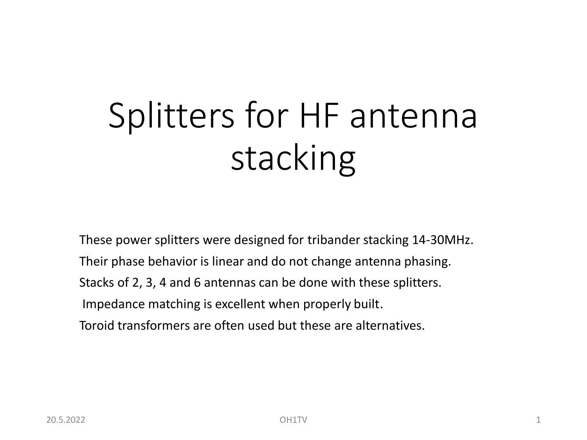# Splitters for HF antenna stacking

These power splitters were designed for tribander stacking 14-30MHz. Their phase behavior is linear and do not change antenna phasing. Stacks of 2, 3, 4 and 6 antennas can be done with these splitters. Impedance matching is excellent when properly built. Toroid transformers are often used but these are alternatives.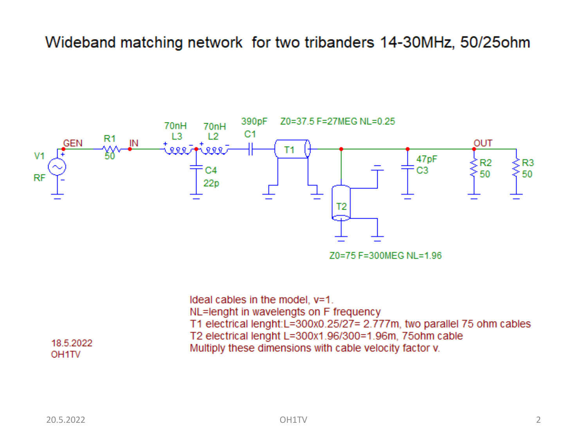#### Wideband matching network for two tribanders 14-30MHz, 50/25ohm



Ideal cables in the model, y=1. NL=lenght in wavelengts on F frequency T1 electrical lenght:L=300x0.25/27= 2.777m, two parallel 75 ohm cables T2 electrical lenght L=300x1.96/300=1.96m, 75ohm cable Multiply these dimensions with cable velocity factor v.

#### 18.5.2022 OH<sub>1</sub>TV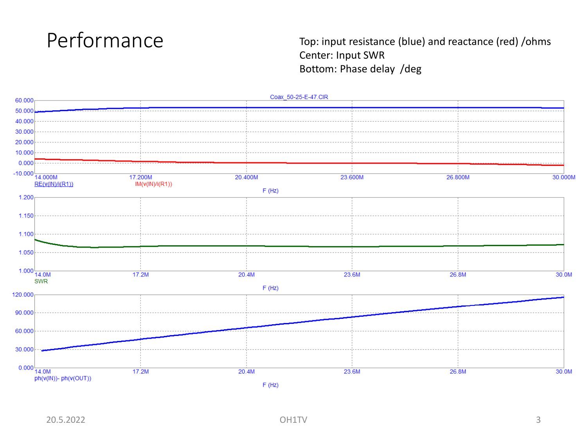

Performance Top: input resistance (blue) and reactance (red) /ohms Center: Input SWR Bottom: Phase delay /deg

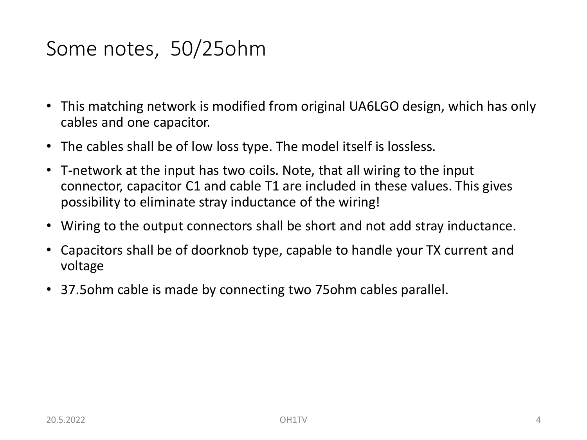## Some notes, 50/25ohm

- This matching network is modified from original UA6LGO design, which has only cables and one capacitor.
- The cables shall be of low loss type. The model itself is lossless.
- T-network at the input has two coils. Note, that all wiring to the input connector, capacitor C1 and cable T1 are included in these values. This gives possibility to eliminate stray inductance of the wiring!
- Wiring to the output connectors shall be short and not add stray inductance.
- Capacitors shall be of doorknob type, capable to handle your TX current and voltage
- 37.5ohm cable is made by connecting two 75ohm cables parallel.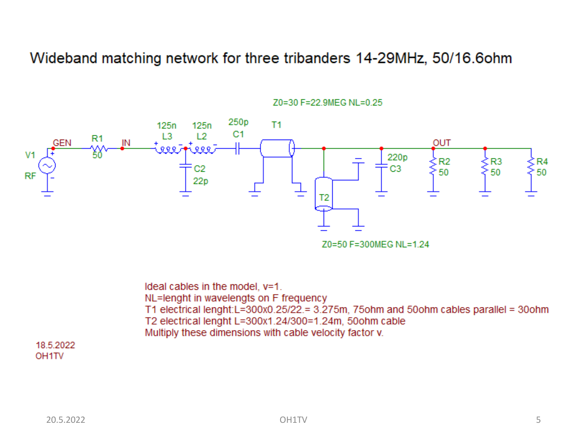Wideband matching network for three tribanders 14-29MHz, 50/16.6ohm



Z0=30 F=22.9MEG NL=0.25

Ideal cables in the model, y=1. NL=lenght in wavelengts on F frequency T1 electrical lenght:  $L = 300x0.25/22 = 3.275m$ , 75ohm and 50ohm cables parallel = 30ohm T2 electrical lenght L=300x1.24/300=1.24m, 50ohm cable Multiply these dimensions with cable velocity factor v.

18.5.2022 OH<sub>1</sub>TV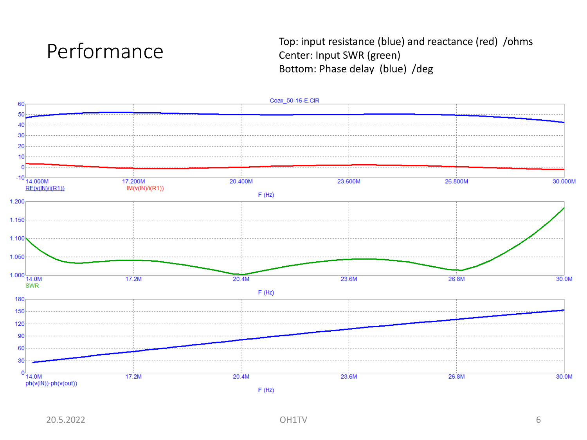

Top: input resistance (blue) and reactance (red) /ohms Center: Input SWR (green) Bottom: Phase delay (blue) /deg

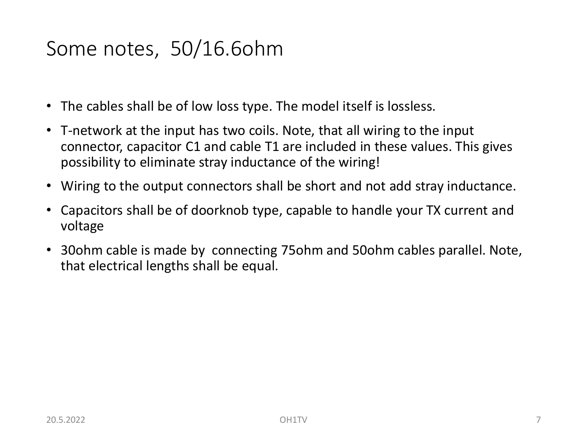## Some notes, 50/16.6ohm

- The cables shall be of low loss type. The model itself is lossless.
- T-network at the input has two coils. Note, that all wiring to the input connector, capacitor C1 and cable T1 are included in these values. This gives possibility to eliminate stray inductance of the wiring!
- Wiring to the output connectors shall be short and not add stray inductance.
- Capacitors shall be of doorknob type, capable to handle your TX current and voltage
- 30ohm cable is made by connecting 75ohm and 50ohm cables parallel. Note, that electrical lengths shall be equal.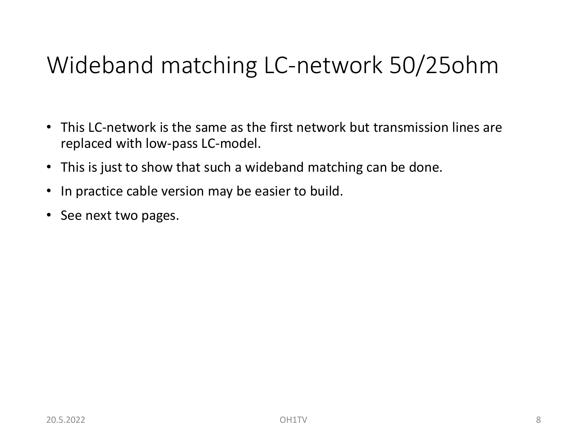# Wideband matching LC-network 50/25ohm

- This LC-network is the same as the first network but transmission lines are replaced with low-pass LC-model.
- This is just to show that such a wideband matching can be done.
- In practice cable version may be easier to build.
- See next two pages.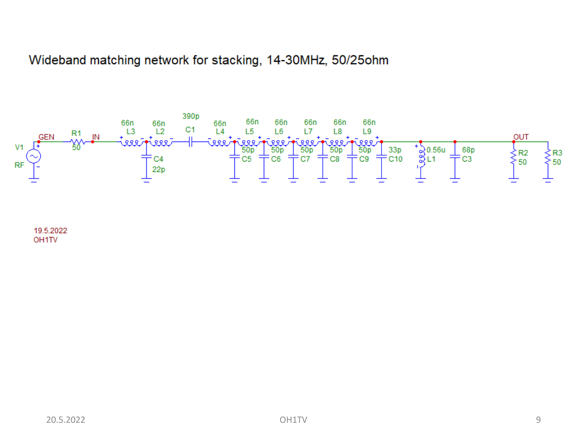#### Wideband matching network for stacking, 14-30MHz, 50/25ohm